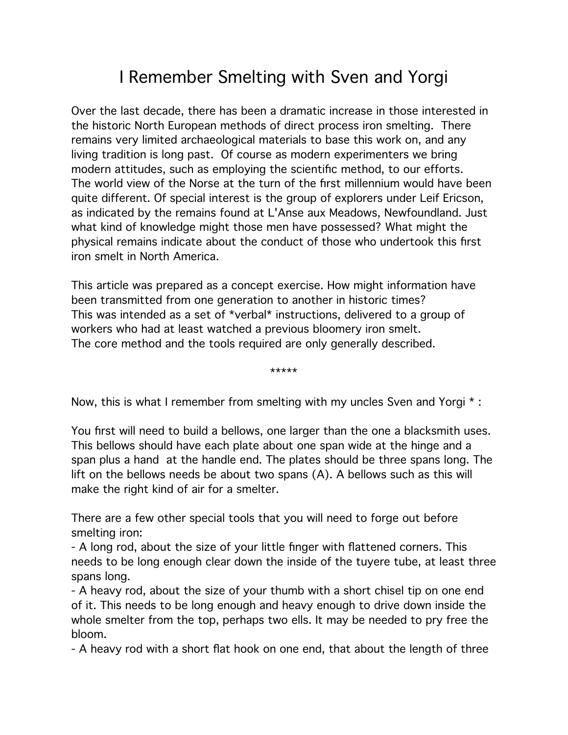# I Remember Smelting with Sven and Yorgi

Over the last decade, there has been a dramatic increase in those interested in the historic North European methods of direct process iron smelting. There remains very limited archaeological materials to base this work on, and any living tradition is long past. Of course as modern experimenters we bring modern attitudes, such as employing the scientific method, to our efforts. The world view of the Norse at the turn of the first millennium would have been quite different. Of special interest is the group of explorers under Leif Ericson, as indicated by the remains found at L'Anse aux Meadows, Newfoundland. Just what kind of knowledge might those men have possessed? What might the physical remains indicate about the conduct of those who undertook this first iron smelt in North America.

This article was prepared as a concept exercise. How might information have been transmitted from one generation to another in historic times? This was intended as a set of \*verbal\* instructions, delivered to a group of workers who had at least watched a previous bloomery iron smelt. The core method and the tools required are only generally described.

\*\*\*\*\*

Now, this is what I remember from smelting with my uncles Sven and Yorgi \* :

You first will need to build a bellows, one larger than the one a blacksmith uses. This bellows should have each plate about one span wide at the hinge and a span plus a hand at the handle end. The plates should be three spans long. The lift on the bellows needs be about two spans (A). A bellows such as this will make the right kind of air for a smelter.

There are a few other special tools that you will need to forge out before smelting iron:

- A long rod, about the size of your little finger with flattened corners. This needs to be long enough clear down the inside of the tuyere tube, at least three spans long.

- A heavy rod, about the size of your thumb with a short chisel tip on one end of it. This needs to be long enough and heavy enough to drive down inside the whole smelter from the top, perhaps two ells. It may be needed to pry free the bloom.

- A heavy rod with a short flat hook on one end, that about the length of three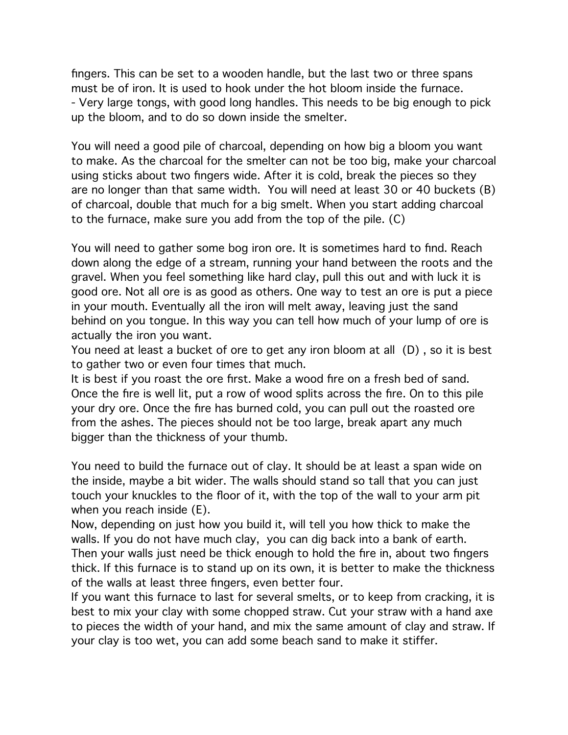fingers. This can be set to a wooden handle, but the last two or three spans must be of iron. It is used to hook under the hot bloom inside the furnace. - Very large tongs, with good long handles. This needs to be big enough to pick up the bloom, and to do so down inside the smelter.

You will need a good pile of charcoal, depending on how big a bloom you want to make. As the charcoal for the smelter can not be too big, make your charcoal using sticks about two fingers wide. After it is cold, break the pieces so they are no longer than that same width. You will need at least 30 or 40 buckets (B) of charcoal, double that much for a big smelt. When you start adding charcoal to the furnace, make sure you add from the top of the pile. (C)

You will need to gather some bog iron ore. It is sometimes hard to find. Reach down along the edge of a stream, running your hand between the roots and the gravel. When you feel something like hard clay, pull this out and with luck it is good ore. Not all ore is as good as others. One way to test an ore is put a piece in your mouth. Eventually all the iron will melt away, leaving just the sand behind on you tongue. In this way you can tell how much of your lump of ore is actually the iron you want.

You need at least a bucket of ore to get any iron bloom at all (D) , so it is best to gather two or even four times that much.

It is best if you roast the ore first. Make a wood fire on a fresh bed of sand. Once the fire is well lit, put a row of wood splits across the fire. On to this pile your dry ore. Once the fire has burned cold, you can pull out the roasted ore from the ashes. The pieces should not be too large, break apart any much bigger than the thickness of your thumb.

You need to build the furnace out of clay. It should be at least a span wide on the inside, maybe a bit wider. The walls should stand so tall that you can just touch your knuckles to the floor of it, with the top of the wall to your arm pit when you reach inside (E).

Now, depending on just how you build it, will tell you how thick to make the walls. If you do not have much clay, you can dig back into a bank of earth. Then your walls just need be thick enough to hold the fire in, about two fingers thick. If this furnace is to stand up on its own, it is better to make the thickness of the walls at least three fingers, even better four.

If you want this furnace to last for several smelts, or to keep from cracking, it is best to mix your clay with some chopped straw. Cut your straw with a hand axe to pieces the width of your hand, and mix the same amount of clay and straw. If your clay is too wet, you can add some beach sand to make it stiffer.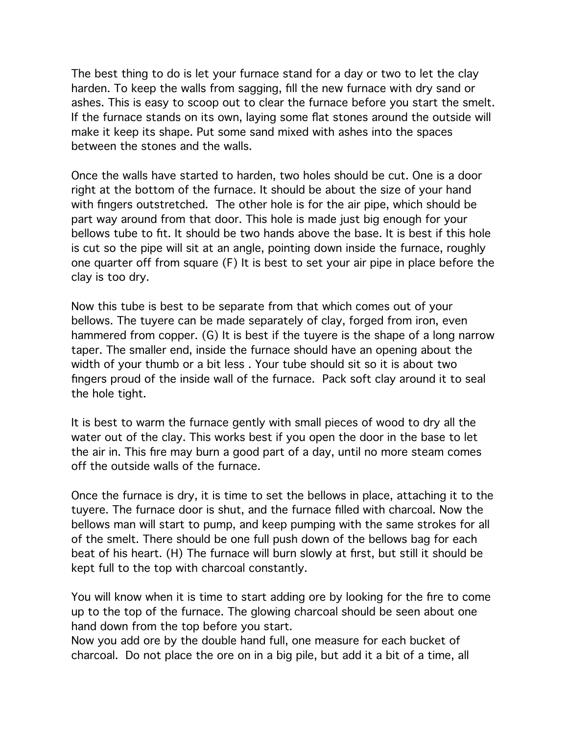The best thing to do is let your furnace stand for a day or two to let the clay harden. To keep the walls from sagging, fill the new furnace with dry sand or ashes. This is easy to scoop out to clear the furnace before you start the smelt. If the furnace stands on its own, laying some flat stones around the outside will make it keep its shape. Put some sand mixed with ashes into the spaces between the stones and the walls.

Once the walls have started to harden, two holes should be cut. One is a door right at the bottom of the furnace. It should be about the size of your hand with fingers outstretched. The other hole is for the air pipe, which should be part way around from that door. This hole is made just big enough for your bellows tube to fit. It should be two hands above the base. It is best if this hole is cut so the pipe will sit at an angle, pointing down inside the furnace, roughly one quarter off from square (F) It is best to set your air pipe in place before the clay is too dry.

Now this tube is best to be separate from that which comes out of your bellows. The tuyere can be made separately of clay, forged from iron, even hammered from copper. (G) It is best if the tuyere is the shape of a long narrow taper. The smaller end, inside the furnace should have an opening about the width of your thumb or a bit less . Your tube should sit so it is about two fingers proud of the inside wall of the furnace. Pack soft clay around it to seal the hole tight.

It is best to warm the furnace gently with small pieces of wood to dry all the water out of the clay. This works best if you open the door in the base to let the air in. This fire may burn a good part of a day, until no more steam comes off the outside walls of the furnace.

Once the furnace is dry, it is time to set the bellows in place, attaching it to the tuyere. The furnace door is shut, and the furnace filled with charcoal. Now the bellows man will start to pump, and keep pumping with the same strokes for all of the smelt. There should be one full push down of the bellows bag for each beat of his heart. (H) The furnace will burn slowly at first, but still it should be kept full to the top with charcoal constantly.

You will know when it is time to start adding ore by looking for the fire to come up to the top of the furnace. The glowing charcoal should be seen about one hand down from the top before you start.

Now you add ore by the double hand full, one measure for each bucket of charcoal. Do not place the ore on in a big pile, but add it a bit of a time, all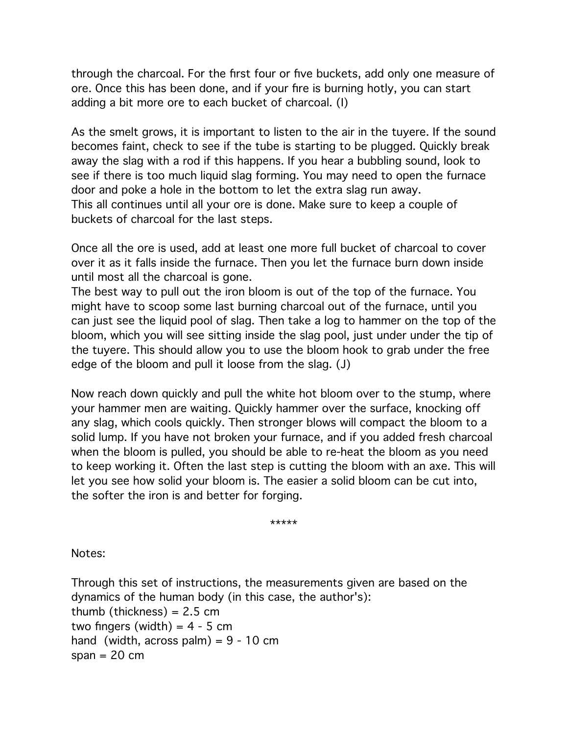through the charcoal. For the first four or five buckets, add only one measure of ore. Once this has been done, and if your fire is burning hotly, you can start adding a bit more ore to each bucket of charcoal. (I)

As the smelt grows, it is important to listen to the air in the tuyere. If the sound becomes faint, check to see if the tube is starting to be plugged. Quickly break away the slag with a rod if this happens. If you hear a bubbling sound, look to see if there is too much liquid slag forming. You may need to open the furnace door and poke a hole in the bottom to let the extra slag run away. This all continues until all your ore is done. Make sure to keep a couple of buckets of charcoal for the last steps.

Once all the ore is used, add at least one more full bucket of charcoal to cover over it as it falls inside the furnace. Then you let the furnace burn down inside until most all the charcoal is gone.

The best way to pull out the iron bloom is out of the top of the furnace. You might have to scoop some last burning charcoal out of the furnace, until you can just see the liquid pool of slag. Then take a log to hammer on the top of the bloom, which you will see sitting inside the slag pool, just under under the tip of the tuyere. This should allow you to use the bloom hook to grab under the free edge of the bloom and pull it loose from the slag. (J)

Now reach down quickly and pull the white hot bloom over to the stump, where your hammer men are waiting. Quickly hammer over the surface, knocking off any slag, which cools quickly. Then stronger blows will compact the bloom to a solid lump. If you have not broken your furnace, and if you added fresh charcoal when the bloom is pulled, you should be able to re-heat the bloom as you need to keep working it. Often the last step is cutting the bloom with an axe. This will let you see how solid your bloom is. The easier a solid bloom can be cut into, the softer the iron is and better for forging.

\*\*\*\*\*

Notes:

Through this set of instructions, the measurements given are based on the dynamics of the human body (in this case, the author's): thumb (thickness) =  $2.5$  cm two fingers (width) =  $4 - 5$  cm hand (width, across palm) =  $9 - 10$  cm span  $= 20$  cm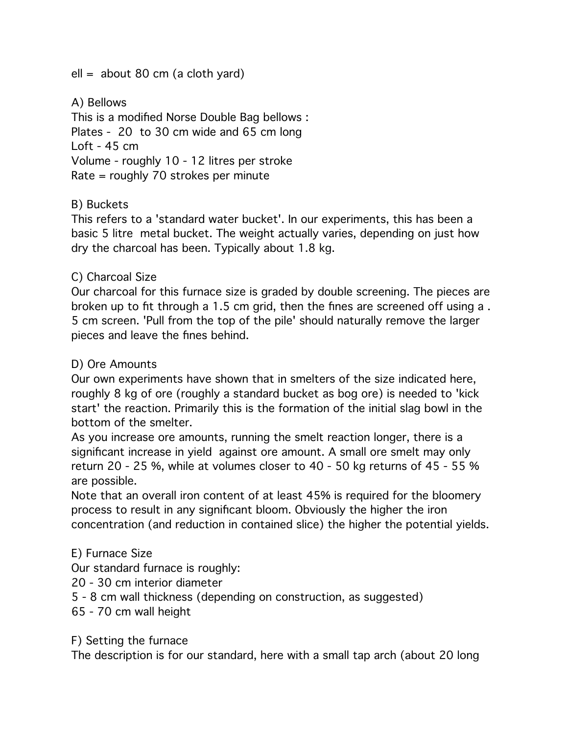$ell =$  about 80 cm (a cloth yard)

A) Bellows This is a modified Norse Double Bag bellows : Plates - 20 to 30 cm wide and 65 cm long Loft - 45 cm Volume - roughly 10 - 12 litres per stroke Rate = roughly 70 strokes per minute

## B) Buckets

This refers to a 'standard water bucket'. In our experiments, this has been a basic 5 litre metal bucket. The weight actually varies, depending on just how dry the charcoal has been. Typically about 1.8 kg.

## C) Charcoal Size

Our charcoal for this furnace size is graded by double screening. The pieces are broken up to fit through a 1.5 cm grid, then the fines are screened off using a . 5 cm screen. 'Pull from the top of the pile' should naturally remove the larger pieces and leave the fines behind.

#### D) Ore Amounts

Our own experiments have shown that in smelters of the size indicated here, roughly 8 kg of ore (roughly a standard bucket as bog ore) is needed to 'kick start' the reaction. Primarily this is the formation of the initial slag bowl in the bottom of the smelter.

As you increase ore amounts, running the smelt reaction longer, there is a significant increase in yield against ore amount. A small ore smelt may only return 20 - 25 %, while at volumes closer to 40 - 50 kg returns of 45 - 55 % are possible.

Note that an overall iron content of at least 45% is required for the bloomery process to result in any significant bloom. Obviously the higher the iron concentration (and reduction in contained slice) the higher the potential yields.

#### E) Furnace Size

Our standard furnace is roughly:

20 - 30 cm interior diameter

5 - 8 cm wall thickness (depending on construction, as suggested)

65 - 70 cm wall height

F) Setting the furnace

The description is for our standard, here with a small tap arch (about 20 long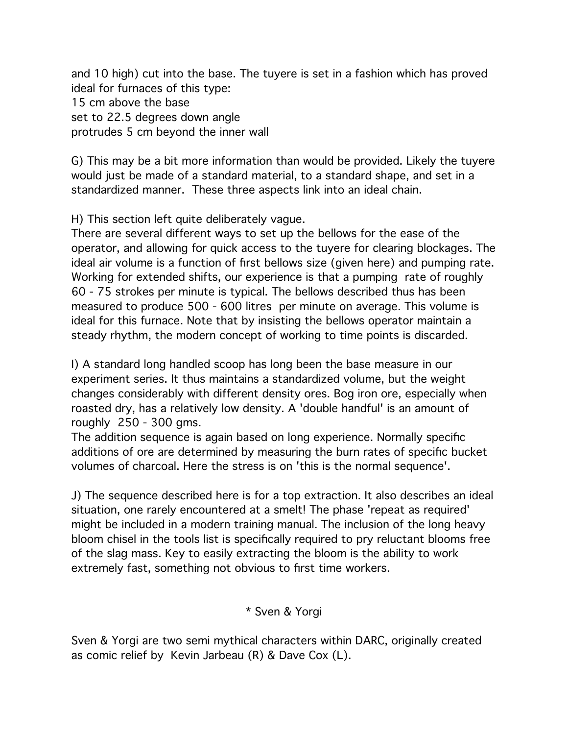and 10 high) cut into the base. The tuyere is set in a fashion which has proved ideal for furnaces of this type: 15 cm above the base set to 22.5 degrees down angle protrudes 5 cm beyond the inner wall

G) This may be a bit more information than would be provided. Likely the tuyere would just be made of a standard material, to a standard shape, and set in a standardized manner. These three aspects link into an ideal chain.

H) This section left quite deliberately vague.

There are several different ways to set up the bellows for the ease of the operator, and allowing for quick access to the tuyere for clearing blockages. The ideal air volume is a function of first bellows size (given here) and pumping rate. Working for extended shifts, our experience is that a pumping rate of roughly 60 - 75 strokes per minute is typical. The bellows described thus has been measured to produce 500 - 600 litres per minute on average. This volume is ideal for this furnace. Note that by insisting the bellows operator maintain a steady rhythm, the modern concept of working to time points is discarded.

I) A standard long handled scoop has long been the base measure in our experiment series. It thus maintains a standardized volume, but the weight changes considerably with different density ores. Bog iron ore, especially when roasted dry, has a relatively low density. A 'double handful' is an amount of roughly 250 - 300 gms.

The addition sequence is again based on long experience. Normally specific additions of ore are determined by measuring the burn rates of specific bucket volumes of charcoal. Here the stress is on 'this is the normal sequence'.

J) The sequence described here is for a top extraction. It also describes an ideal situation, one rarely encountered at a smelt! The phase 'repeat as required' might be included in a modern training manual. The inclusion of the long heavy bloom chisel in the tools list is specifically required to pry reluctant blooms free of the slag mass. Key to easily extracting the bloom is the ability to work extremely fast, something not obvious to first time workers.

# \* Sven & Yorgi

Sven & Yorgi are two semi mythical characters within DARC, originally created as comic relief by Kevin Jarbeau (R) & Dave Cox (L).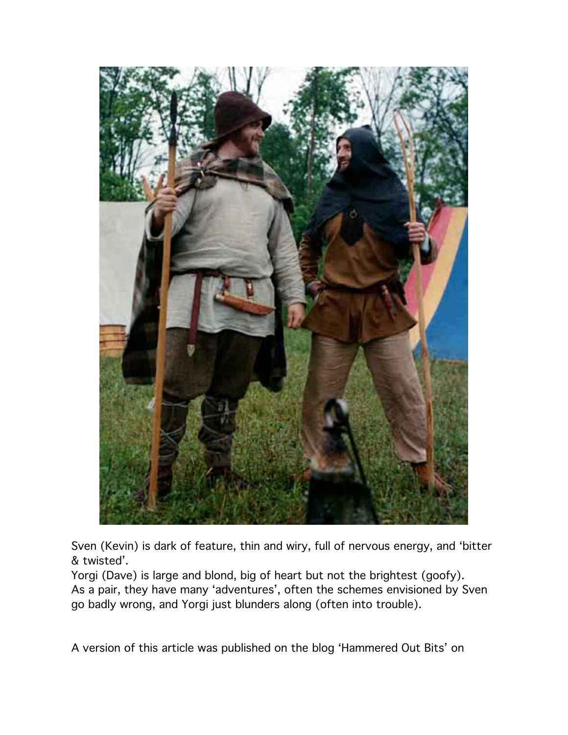

Sven (Kevin) is dark of feature, thin and wiry, full of nervous energy, and 'bitter & twisted'.

Yorgi (Dave) is large and blond, big of heart but not the brightest (goofy). As a pair, they have many 'adventures', often the schemes envisioned by Sven go badly wrong, and Yorgi just blunders along (often into trouble).

A version of this article was published on the blog 'Hammered Out Bits' on